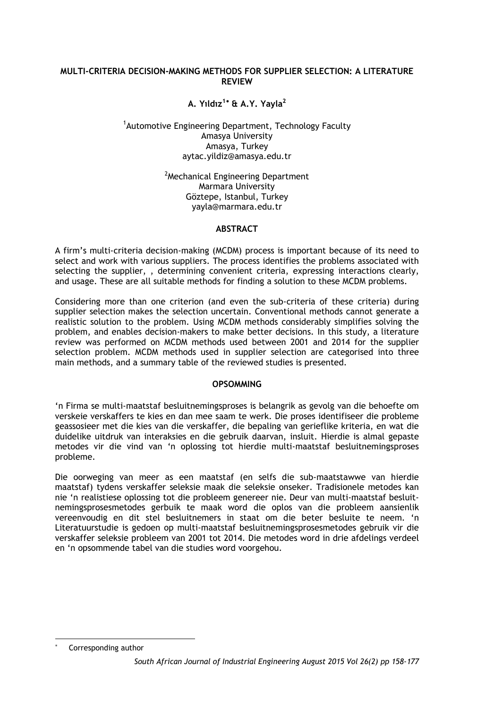### **MULTI-CRITERIA DECISION-MAKING METHODS FOR SUPPLIER SELECTION: A LITERATURE REVIEW**

# **A. Yıldız<sup>1</sup>**[∗](#page-0-0) **& A.Y. Yayla<sup>2</sup>**

### <sup>1</sup>Automotive Engineering Department, Technology Faculty Amasya University Amasya, Turkey aytac.yildiz@amasya.edu.tr

<sup>2</sup>Mechanical Engineering Department Marmara University Göztepe, Istanbul, Turkey yayla@marmara.edu.tr

### **ABSTRACT**

A firm's multi-criteria decision-making (MCDM) process is important because of its need to select and work with various suppliers. The process identifies the problems associated with selecting the supplier, , determining convenient criteria, expressing interactions clearly, and usage. These are all suitable methods for finding a solution to these MCDM problems.

Considering more than one criterion (and even the sub-criteria of these criteria) during supplier selection makes the selection uncertain. Conventional methods cannot generate a realistic solution to the problem. Using MCDM methods considerably simplifies solving the problem, and enables decision-makers to make better decisions. In this study, a literature review was performed on MCDM methods used between 2001 and 2014 for the supplier selection problem. MCDM methods used in supplier selection are categorised into three main methods, and a summary table of the reviewed studies is presented.

# **OPSOMMING**

'n Firma se multi-maatstaf besluitnemingsproses is belangrik as gevolg van die behoefte om verskeie verskaffers te kies en dan mee saam te werk. Die proses identifiseer die probleme geassosieer met die kies van die verskaffer, die bepaling van gerieflike kriteria, en wat die duidelike uitdruk van interaksies en die gebruik daarvan, insluit. Hierdie is almal gepaste metodes vir die vind van 'n oplossing tot hierdie multi-maatstaf besluitnemingsproses probleme.

Die oorweging van meer as een maatstaf (en selfs die sub-maatstawwe van hierdie maatstaf) tydens verskaffer seleksie maak die seleksie onseker. Tradisionele metodes kan nie 'n realistiese oplossing tot die probleem genereer nie. Deur van multi-maatstaf besluitnemingsprosesmetodes gerbuik te maak word die oplos van die probleem aansienlik vereenvoudig en dit stel besluitnemers in staat om die beter besluite te neem. 'n Literatuurstudie is gedoen op multi-maatstaf besluitnemingsprosesmetodes gebruik vir die verskaffer seleksie probleem van 2001 tot 2014. Die metodes word in drie afdelings verdeel en 'n opsommende tabel van die studies word voorgehou.

<span id="page-0-0"></span>l Corresponding author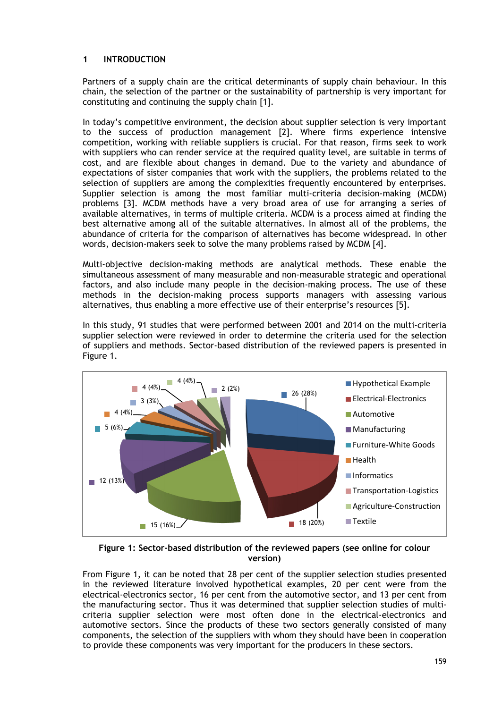# **1 INTRODUCTION**

Partners of a supply chain are the critical determinants of supply chain behaviour. In this chain, the selection of the partner or the sustainability of partnership is very important for constituting and continuing the supply chain [1].

In today's competitive environment, the decision about supplier selection is very important to the success of production management [2]. Where firms experience intensive competition, working with reliable suppliers is crucial. For that reason, firms seek to work with suppliers who can render service at the required quality level, are suitable in terms of cost, and are flexible about changes in demand. Due to the variety and abundance of expectations of sister companies that work with the suppliers, the problems related to the selection of suppliers are among the complexities frequently encountered by enterprises. Supplier selection is among the most familiar multi-criteria decision-making (MCDM) problems [3]. MCDM methods have a very broad area of use for arranging a series of available alternatives, in terms of multiple criteria. MCDM is a process aimed at finding the best alternative among all of the suitable alternatives. In almost all of the problems, the abundance of criteria for the comparison of alternatives has become widespread. In other words, decision-makers seek to solve the many problems raised by MCDM [4].

Multi-objective decision-making methods are analytical methods. These enable the simultaneous assessment of many measurable and non-measurable strategic and operational factors, and also include many people in the decision-making process. The use of these methods in the decision-making process supports managers with assessing various alternatives, thus enabling a more effective use of their enterprise's resources [5].

In this study, 91 studies that were performed between 2001 and 2014 on the multi-criteria supplier selection were reviewed in order to determine the criteria used for the selection of suppliers and methods. Sector-based distribution of the reviewed papers is presented in Figure 1.



**Figure 1: Sector-based distribution of the reviewed papers (see online for colour version)**

From Figure 1, it can be noted that 28 per cent of the supplier selection studies presented in the reviewed literature involved hypothetical examples, 20 per cent were from the electrical-electronics sector, 16 per cent from the automotive sector, and 13 per cent from the manufacturing sector. Thus it was determined that supplier selection studies of multicriteria supplier selection were most often done in the electrical-electronics and automotive sectors. Since the products of these two sectors generally consisted of many components, the selection of the suppliers with whom they should have been in cooperation to provide these components was very important for the producers in these sectors.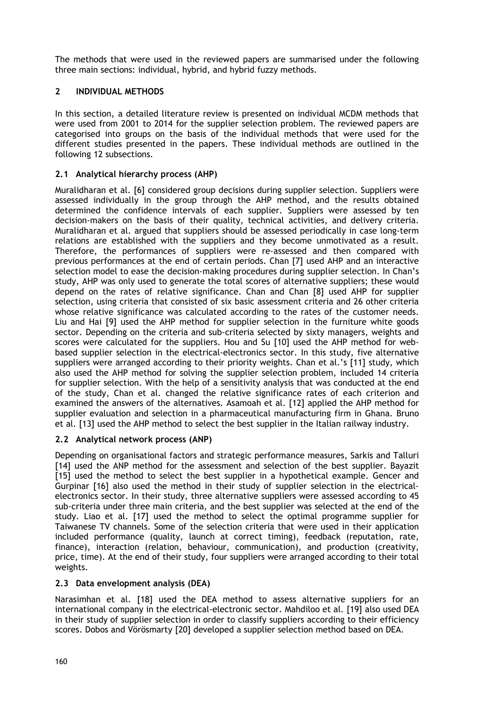The methods that were used in the reviewed papers are summarised under the following three main sections: individual, hybrid, and hybrid fuzzy methods.

# **2 INDIVIDUAL METHODS**

In this section, a detailed literature review is presented on individual MCDM methods that were used from 2001 to 2014 for the supplier selection problem. The reviewed papers are categorised into groups on the basis of the individual methods that were used for the different studies presented in the papers. These individual methods are outlined in the following 12 subsections.

# **2.1 Analytical hierarchy process (AHP)**

Muralidharan et al. [6] considered group decisions during supplier selection. Suppliers were assessed individually in the group through the AHP method, and the results obtained determined the confidence intervals of each supplier. Suppliers were assessed by ten decision-makers on the basis of their quality, technical activities, and delivery criteria. Muralidharan et al. argued that suppliers should be assessed periodically in case long-term relations are established with the suppliers and they become unmotivated as a result. Therefore, the performances of suppliers were re-assessed and then compared with previous performances at the end of certain periods. Chan [7] used AHP and an interactive selection model to ease the decision-making procedures during supplier selection. In Chan's study, AHP was only used to generate the total scores of alternative suppliers; these would depend on the rates of relative significance. Chan and Chan [8] used AHP for supplier selection, using criteria that consisted of six basic assessment criteria and 26 other criteria whose relative significance was calculated according to the rates of the customer needs. Liu and Hai [9] used the AHP method for supplier selection in the furniture white goods sector. Depending on the criteria and sub-criteria selected by sixty managers, weights and scores were calculated for the suppliers. Hou and Su [10] used the AHP method for webbased supplier selection in the electrical-electronics sector. In this study, five alternative suppliers were arranged according to their priority weights. Chan et al.'s [11] study, which also used the AHP method for solving the supplier selection problem, included 14 criteria for supplier selection. With the help of a sensitivity analysis that was conducted at the end of the study, Chan et al. changed the relative significance rates of each criterion and examined the answers of the alternatives. Asamoah et al. [12] applied the AHP method for supplier evaluation and selection in a pharmaceutical manufacturing firm in Ghana. Bruno et al. [13] used the AHP method to select the best supplier in the Italian railway industry.

### **2.2 Analytical network process (ANP)**

Depending on organisational factors and strategic performance measures, Sarkis and Talluri [14] used the ANP method for the assessment and selection of the best supplier. Bayazit [15] used the method to select the best supplier in a hypothetical example. Gencer and Gurpinar [16] also used the method in their study of supplier selection in the electricalelectronics sector. In their study, three alternative suppliers were assessed according to 45 sub-criteria under three main criteria, and the best supplier was selected at the end of the study. Liao et al. [17] used the method to select the optimal programme supplier for Taiwanese TV channels. Some of the selection criteria that were used in their application included performance (quality, launch at correct timing), feedback (reputation, rate, finance), interaction (relation, behaviour, communication), and production (creativity, price, time). At the end of their study, four suppliers were arranged according to their total weights.

### **2.3 Data envelopment analysis (DEA)**

Narasimhan et al. [18] used the DEA method to assess alternative suppliers for an international company in the electrical-electronic sector. Mahdiloo et al. [19] also used DEA in their study of supplier selection in order to classify suppliers according to their efficiency scores. Dobos and Vörösmarty [20] developed a supplier selection method based on DEA.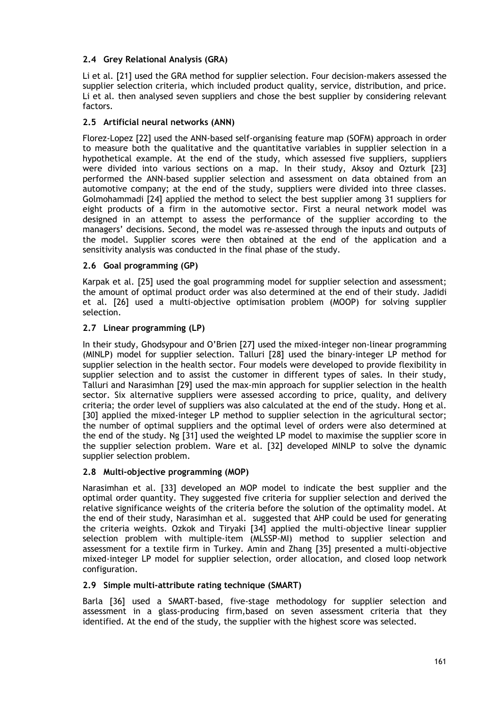# **2.4 Grey Relational Analysis (GRA)**

Li et al. [21] used the GRA method for supplier selection. Four decision-makers assessed the supplier selection criteria, which included product quality, service, distribution, and price. Li et al. then analysed seven suppliers and chose the best supplier by considering relevant factors.

# **2.5 Artificial neural networks (ANN)**

Florez-Lopez [22] used the ANN-based self-organising feature map (SOFM) approach in order to measure both the qualitative and the quantitative variables in supplier selection in a hypothetical example. At the end of the study, which assessed five suppliers, suppliers were divided into various sections on a map. In their study, Aksoy and Ozturk [23] performed the ANN-based supplier selection and assessment on data obtained from an automotive company; at the end of the study, suppliers were divided into three classes. Golmohammadi [24] applied the method to select the best supplier among 31 suppliers for eight products of a firm in the automotive sector. First a neural network model was designed in an attempt to assess the performance of the supplier according to the managers' decisions. Second, the model was re-assessed through the inputs and outputs of the model. Supplier scores were then obtained at the end of the application and a sensitivity analysis was conducted in the final phase of the study.

### **2.6 Goal programming (GP)**

Karpak et al. [25] used the goal programming model for supplier selection and assessment; the amount of optimal product order was also determined at the end of their study. Jadidi et al. [26] used a multi-objective optimisation problem (MOOP) for solving supplier selection.

### **2.7 Linear programming (LP)**

In their study, Ghodsypour and O'Brien [27] used the mixed-integer non-linear programming (MINLP) model for supplier selection. Talluri [28] used the binary-integer LP method for supplier selection in the health sector. Four models were developed to provide flexibility in supplier selection and to assist the customer in different types of sales. In their study, Talluri and Narasimhan [29] used the max-min approach for supplier selection in the health sector. Six alternative suppliers were assessed according to price, quality, and delivery criteria; the order level of suppliers was also calculated at the end of the study. Hong et al. [30] applied the mixed-integer LP method to supplier selection in the agricultural sector; the number of optimal suppliers and the optimal level of orders were also determined at the end of the study. Ng [31] used the weighted LP model to maximise the supplier score in the supplier selection problem. Ware et al. [32] developed MINLP to solve the dynamic supplier selection problem.

### **2.8 Multi-objective programming (MOP)**

Narasimhan et al. [33] developed an MOP model to indicate the best supplier and the optimal order quantity. They suggested five criteria for supplier selection and derived the relative significance weights of the criteria before the solution of the optimality model. At the end of their study, Narasimhan et al. suggested that AHP could be used for generating the criteria weights. Ozkok and Tiryaki [34] applied the multi-objective linear supplier selection problem with multiple-item (MLSSP-MI) method to supplier selection and assessment for a textile firm in Turkey. Amin and Zhang [35] presented a multi-objective mixed-integer LP model for supplier selection, order allocation, and closed loop network configuration.

### **2.9 Simple multi-attribute rating technique (SMART)**

Barla [36] used a SMART-based, five-stage methodology for supplier selection and assessment in a glass-producing firm,based on seven assessment criteria that they identified. At the end of the study, the supplier with the highest score was selected.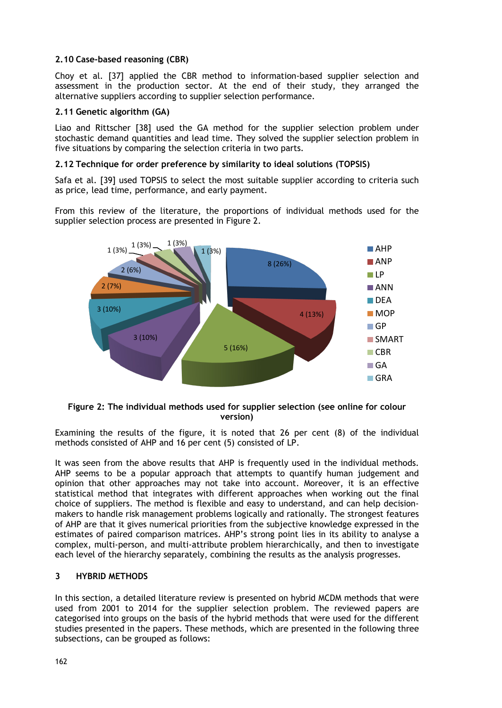# **2.10 Case-based reasoning (CBR)**

Choy et al. [37] applied the CBR method to information-based supplier selection and assessment in the production sector. At the end of their study, they arranged the alternative suppliers according to supplier selection performance.

### **2.11 Genetic algorithm (GA)**

Liao and Rittscher [38] used the GA method for the supplier selection problem under stochastic demand quantities and lead time. They solved the supplier selection problem in five situations by comparing the selection criteria in two parts.

# **2.12 Technique for order preference by similarity to ideal solutions (TOPSIS)**

Safa et al. [39] used TOPSIS to select the most suitable supplier according to criteria such as price, lead time, performance, and early payment.

From this review of the literature, the proportions of individual methods used for the supplier selection process are presented in Figure 2.



### **Figure 2: The individual methods used for supplier selection (see online for colour version)**

Examining the results of the figure, it is noted that 26 per cent (8) of the individual methods consisted of AHP and 16 per cent (5) consisted of LP.

It was seen from the above results that AHP is frequently used in the individual methods. AHP seems to be a popular approach that attempts to quantify human judgement and opinion that other approaches may not take into account. Moreover, it is an effective statistical method that integrates with different approaches when working out the final choice of suppliers. The method is flexible and easy to understand, and can help decisionmakers to handle risk management problems logically and rationally. The strongest features of AHP are that it gives numerical priorities from the subjective knowledge expressed in the estimates of paired comparison matrices. AHP's strong point lies in its ability to analyse a complex, multi-person, and multi-attribute problem hierarchically, and then to investigate each level of the hierarchy separately, combining the results as the analysis progresses.

### **3 HYBRID METHODS**

In this section, a detailed literature review is presented on hybrid MCDM methods that were used from 2001 to 2014 for the supplier selection problem. The reviewed papers are categorised into groups on the basis of the hybrid methods that were used for the different studies presented in the papers. These methods, which are presented in the following three subsections, can be grouped as follows: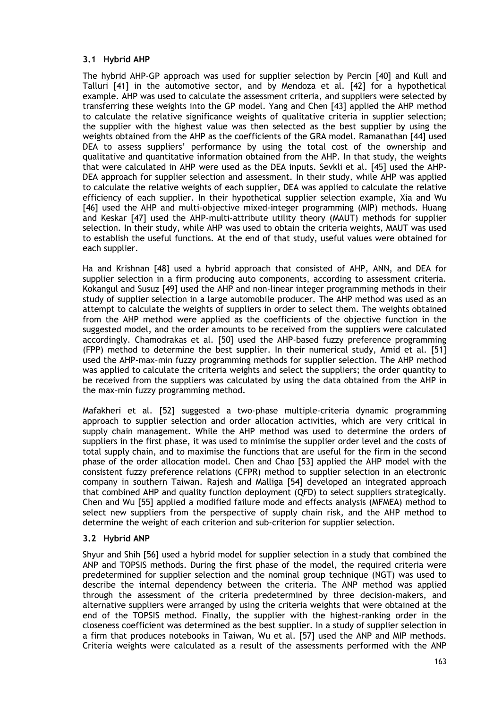# **3.1 Hybrid AHP**

The hybrid AHP-GP approach was used for supplier selection by Percin [40] and Kull and Talluri [41] in the automotive sector, and by Mendoza et al. [42] for a hypothetical example. AHP was used to calculate the assessment criteria, and suppliers were selected by transferring these weights into the GP model. Yang and Chen [43] applied the AHP method to calculate the relative significance weights of qualitative criteria in supplier selection; the supplier with the highest value was then selected as the best supplier by using the weights obtained from the AHP as the coefficients of the GRA model. Ramanathan [44] used DEA to assess suppliers' performance by using the total cost of the ownership and qualitative and quantitative information obtained from the AHP. In that study, the weights that were calculated in AHP were used as the DEA inputs. Sevkli et al. [45] used the AHP-DEA approach for supplier selection and assessment. In their study, while AHP was applied to calculate the relative weights of each supplier, DEA was applied to calculate the relative efficiency of each supplier. In their hypothetical supplier selection example, Xia and Wu [46] used the AHP and multi-objective mixed-integer programming (MIP) methods. Huang and Keskar [47] used the AHP-multi-attribute utility theory (MAUT) methods for supplier selection. In their study, while AHP was used to obtain the criteria weights, MAUT was used to establish the useful functions. At the end of that study, useful values were obtained for each supplier.

Ha and Krishnan [48] used a hybrid approach that consisted of AHP, ANN, and DEA for supplier selection in a firm producing auto components, according to assessment criteria. Kokangul and Susuz [49] used the AHP and non-linear integer programming methods in their study of supplier selection in a large automobile producer. The AHP method was used as an attempt to calculate the weights of suppliers in order to select them. The weights obtained from the AHP method were applied as the coefficients of the objective function in the suggested model, and the order amounts to be received from the suppliers were calculated accordingly. Chamodrakas et al. [50] used the AHP-based fuzzy preference programming (FPP) method to determine the best supplier. In their numerical study, Amid et al. [51] used the AHP-max–min fuzzy programming methods for supplier selection. The AHP method was applied to calculate the criteria weights and select the suppliers; the order quantity to be received from the suppliers was calculated by using the data obtained from the AHP in the max–min fuzzy programming method.

Mafakheri et al. [52] suggested a two-phase multiple-criteria dynamic programming approach to supplier selection and order allocation activities, which are very critical in supply chain management. While the AHP method was used to determine the orders of suppliers in the first phase, it was used to minimise the supplier order level and the costs of total supply chain, and to maximise the functions that are useful for the firm in the second phase of the order allocation model. Chen and Chao [53] applied the AHP model with the consistent fuzzy preference relations (CFPR) method to supplier selection in an electronic company in southern Taiwan. Rajesh and Malliga [54] developed an integrated approach that combined AHP and quality function deployment (QFD) to select suppliers strategically. Chen and Wu [55] applied a modified failure mode and effects analysis (MFMEA) method to select new suppliers from the perspective of supply chain risk, and the AHP method to determine the weight of each criterion and sub-criterion for supplier selection.

### **3.2 Hybrid ANP**

Shyur and Shih [56] used a hybrid model for supplier selection in a study that combined the ANP and TOPSIS methods. During the first phase of the model, the required criteria were predetermined for supplier selection and the nominal group technique (NGT) was used to describe the internal dependency between the criteria. The ANP method was applied through the assessment of the criteria predetermined by three decision-makers, and alternative suppliers were arranged by using the criteria weights that were obtained at the end of the TOPSIS method. Finally, the supplier with the highest-ranking order in the closeness coefficient was determined as the best supplier. In a study of supplier selection in a firm that produces notebooks in Taiwan, Wu et al. [57] used the ANP and MIP methods. Criteria weights were calculated as a result of the assessments performed with the ANP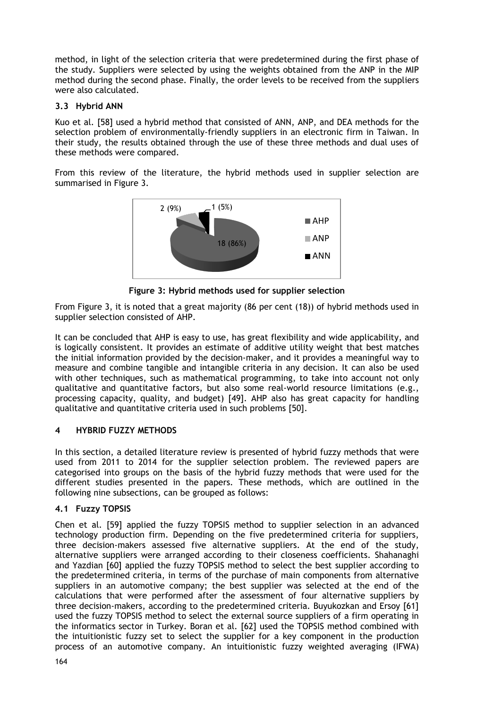method, in light of the selection criteria that were predetermined during the first phase of the study. Suppliers were selected by using the weights obtained from the ANP in the MIP method during the second phase. Finally, the order levels to be received from the suppliers were also calculated.

# **3.3 Hybrid ANN**

Kuo et al. [58] used a hybrid method that consisted of ANN, ANP, and DEA methods for the selection problem of environmentally-friendly suppliers in an electronic firm in Taiwan. In their study, the results obtained through the use of these three methods and dual uses of these methods were compared.

From this review of the literature, the hybrid methods used in supplier selection are summarised in Figure 3.



**Figure 3: Hybrid methods used for supplier selection**

From Figure 3, it is noted that a great majority (86 per cent (18)) of hybrid methods used in supplier selection consisted of AHP.

It can be concluded that AHP is easy to use, has great flexibility and wide applicability, and is logically consistent. It provides an estimate of additive utility weight that best matches the initial information provided by the decision-maker, and it provides a meaningful way to measure and combine tangible and intangible criteria in any decision. It can also be used with other techniques, such as mathematical programming, to take into account not only qualitative and quantitative factors, but also some real-world resource limitations (e.g., processing capacity, quality, and budget) [49]. AHP also has great capacity for handling qualitative and quantitative criteria used in such problems [50].

# **4 HYBRID FUZZY METHODS**

In this section, a detailed literature review is presented of hybrid fuzzy methods that were used from 2011 to 2014 for the supplier selection problem. The reviewed papers are categorised into groups on the basis of the hybrid fuzzy methods that were used for the different studies presented in the papers. These methods, which are outlined in the following nine subsections, can be grouped as follows:

# **4.1 Fuzzy TOPSIS**

Chen et al. [59] applied the fuzzy TOPSIS method to supplier selection in an advanced technology production firm. Depending on the five predetermined criteria for suppliers, three decision-makers assessed five alternative suppliers. At the end of the study, alternative suppliers were arranged according to their closeness coefficients. Shahanaghi and Yazdian [60] applied the fuzzy TOPSIS method to select the best supplier according to the predetermined criteria, in terms of the purchase of main components from alternative suppliers in an automotive company; the best supplier was selected at the end of the calculations that were performed after the assessment of four alternative suppliers by three decision-makers, according to the predetermined criteria. Buyukozkan and Ersoy [61] used the fuzzy TOPSIS method to select the external source suppliers of a firm operating in the informatics sector in Turkey. Boran et al. [62] used the TOPSIS method combined with the intuitionistic fuzzy set to select the supplier for a key component in the production process of an automotive company. An intuitionistic fuzzy weighted averaging (IFWA)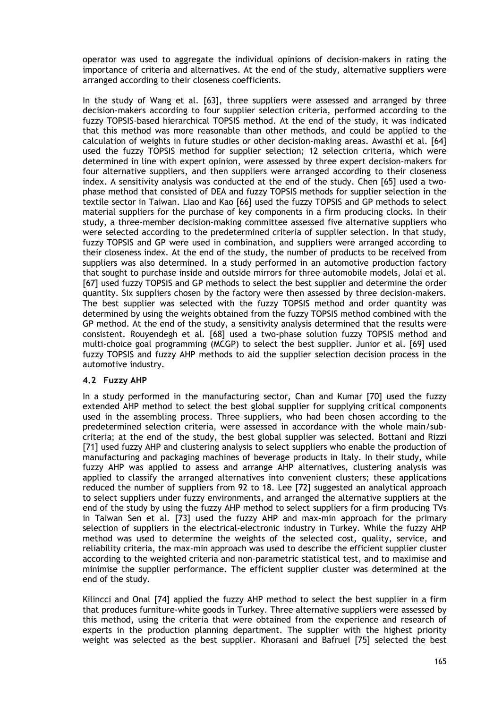operator was used to aggregate the individual opinions of decision-makers in rating the importance of criteria and alternatives. At the end of the study, alternative suppliers were arranged according to their closeness coefficients.

In the study of Wang et al. [63], three suppliers were assessed and arranged by three decision-makers according to four supplier selection criteria, performed according to the fuzzy TOPSIS-based hierarchical TOPSIS method. At the end of the study, it was indicated that this method was more reasonable than other methods, and could be applied to the calculation of weights in future studies or other decision-making areas. Awasthi et al. [64] used the fuzzy TOPSIS method for supplier selection; 12 selection criteria, which were determined in line with expert opinion, were assessed by three expert decision-makers for four alternative suppliers, and then suppliers were arranged according to their closeness index. A sensitivity analysis was conducted at the end of the study. Chen [65] used a twophase method that consisted of DEA and fuzzy TOPSIS methods for supplier selection in the textile sector in Taiwan. Liao and Kao [66] used the fuzzy TOPSIS and GP methods to select material suppliers for the purchase of key components in a firm producing clocks. In their study, a three-member decision-making committee assessed five alternative suppliers who were selected according to the predetermined criteria of supplier selection. In that study, fuzzy TOPSIS and GP were used in combination, and suppliers were arranged according to their closeness index. At the end of the study, the number of products to be received from suppliers was also determined. In a study performed in an automotive production factory that sought to purchase inside and outside mirrors for three automobile models, Jolai et al. [67] used fuzzy TOPSIS and GP methods to select the best supplier and determine the order quantity. Six suppliers chosen by the factory were then assessed by three decision-makers. The best supplier was selected with the fuzzy TOPSIS method and order quantity was determined by using the weights obtained from the fuzzy TOPSIS method combined with the GP method. At the end of the study, a sensitivity analysis determined that the results were consistent. Rouyendegh et al. [68] used a two-phase solution fuzzy TOPSIS method and multi-choice goal programming (MCGP) to select the best supplier. Junior et al. [69] used fuzzy TOPSIS and fuzzy AHP methods to aid the supplier selection decision process in the automotive industry.

# **4.2 Fuzzy AHP**

In a study performed in the manufacturing sector, Chan and Kumar [70] used the fuzzy extended AHP method to select the best global supplier for supplying critical components used in the assembling process. Three suppliers, who had been chosen according to the predetermined selection criteria, were assessed in accordance with the whole main/subcriteria; at the end of the study, the best global supplier was selected. Bottani and Rizzi [71] used fuzzy AHP and clustering analysis to select suppliers who enable the production of manufacturing and packaging machines of beverage products in Italy. In their study, while fuzzy AHP was applied to assess and arrange AHP alternatives, clustering analysis was applied to classify the arranged alternatives into convenient clusters; these applications reduced the number of suppliers from 92 to 18. Lee [72] suggested an analytical approach to select suppliers under fuzzy environments, and arranged the alternative suppliers at the end of the study by using the fuzzy AHP method to select suppliers for a firm producing TVs in Taiwan Sen et al. [73] used the fuzzy AHP and max-min approach for the primary selection of suppliers in the electrical-electronic industry in Turkey. While the fuzzy AHP method was used to determine the weights of the selected cost, quality, service, and reliability criteria, the max-min approach was used to describe the efficient supplier cluster according to the weighted criteria and non-parametric statistical test, and to maximise and minimise the supplier performance. The efficient supplier cluster was determined at the end of the study.

Kilincci and Onal [74] applied the fuzzy AHP method to select the best supplier in a firm that produces furniture-white goods in Turkey. Three alternative suppliers were assessed by this method, using the criteria that were obtained from the experience and research of experts in the production planning department. The supplier with the highest priority weight was selected as the best supplier. Khorasani and Bafruei [75] selected the best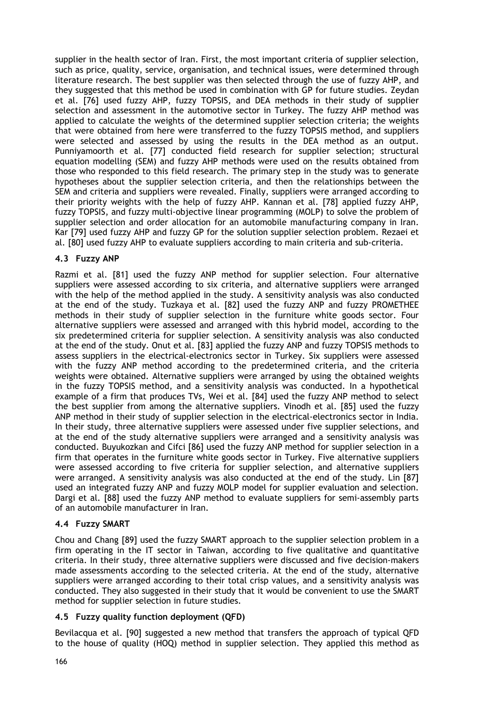supplier in the health sector of Iran. First, the most important criteria of supplier selection, such as price, quality, service, organisation, and technical issues, were determined through literature research. The best supplier was then selected through the use of fuzzy AHP, and they suggested that this method be used in combination with GP for future studies. Zeydan et al. [76] used fuzzy AHP, fuzzy TOPSIS, and DEA methods in their study of supplier selection and assessment in the automotive sector in Turkey. The fuzzy AHP method was applied to calculate the weights of the determined supplier selection criteria; the weights that were obtained from here were transferred to the fuzzy TOPSIS method, and suppliers were selected and assessed by using the results in the DEA method as an output. Punniyamoorth et al. [77] conducted field research for supplier selection; structural equation modelling (SEM) and fuzzy AHP methods were used on the results obtained from those who responded to this field research. The primary step in the study was to generate hypotheses about the supplier selection criteria, and then the relationships between the SEM and criteria and suppliers were revealed. Finally, suppliers were arranged according to their priority weights with the help of fuzzy AHP. Kannan et al. [78] applied fuzzy AHP, fuzzy TOPSIS, and fuzzy multi-objective linear programming (MOLP) to solve the problem of supplier selection and order allocation for an automobile manufacturing company in Iran. Kar [79] used fuzzy AHP and fuzzy GP for the solution supplier selection problem. Rezaei et al. [80] used fuzzy AHP to evaluate suppliers according to main criteria and sub-criteria.

# **4.3 Fuzzy ANP**

Razmi et al. [81] used the fuzzy ANP method for supplier selection. Four alternative suppliers were assessed according to six criteria, and alternative suppliers were arranged with the help of the method applied in the study. A sensitivity analysis was also conducted at the end of the study. Tuzkaya et al. [82] used the fuzzy ANP and fuzzy PROMETHEE methods in their study of supplier selection in the furniture white goods sector. Four alternative suppliers were assessed and arranged with this hybrid model, according to the six predetermined criteria for supplier selection. A sensitivity analysis was also conducted at the end of the study. Onut et al. [83] applied the fuzzy ANP and fuzzy TOPSIS methods to assess suppliers in the electrical-electronics sector in Turkey. Six suppliers were assessed with the fuzzy ANP method according to the predetermined criteria, and the criteria weights were obtained. Alternative suppliers were arranged by using the obtained weights in the fuzzy TOPSIS method, and a sensitivity analysis was conducted. In a hypothetical example of a firm that produces TVs, Wei et al. [84] used the fuzzy ANP method to select the best supplier from among the alternative suppliers. Vinodh et al. [85] used the fuzzy ANP method in their study of supplier selection in the electrical-electronics sector in India. In their study, three alternative suppliers were assessed under five supplier selections, and at the end of the study alternative suppliers were arranged and a sensitivity analysis was conducted. Buyukozkan and Cifci [86] used the fuzzy ANP method for supplier selection in a firm that operates in the furniture white goods sector in Turkey. Five alternative suppliers were assessed according to five criteria for supplier selection, and alternative suppliers were arranged. A sensitivity analysis was also conducted at the end of the study. Lin [87] used an integrated fuzzy ANP and fuzzy MOLP model for supplier evaluation and selection. Dargi et al. [88] used the fuzzy ANP method to evaluate suppliers for semi-assembly parts of an automobile manufacturer in Iran.

# **4.4 Fuzzy SMART**

Chou and Chang [89] used the fuzzy SMART approach to the supplier selection problem in a firm operating in the IT sector in Taiwan, according to five qualitative and quantitative criteria. In their study, three alternative suppliers were discussed and five decision-makers made assessments according to the selected criteria. At the end of the study, alternative suppliers were arranged according to their total crisp values, and a sensitivity analysis was conducted. They also suggested in their study that it would be convenient to use the SMART method for supplier selection in future studies.

### **4.5 Fuzzy quality function deployment (QFD)**

Bevilacqua et al. [90] suggested a new method that transfers the approach of typical QFD to the house of quality (HOQ) method in supplier selection. They applied this method as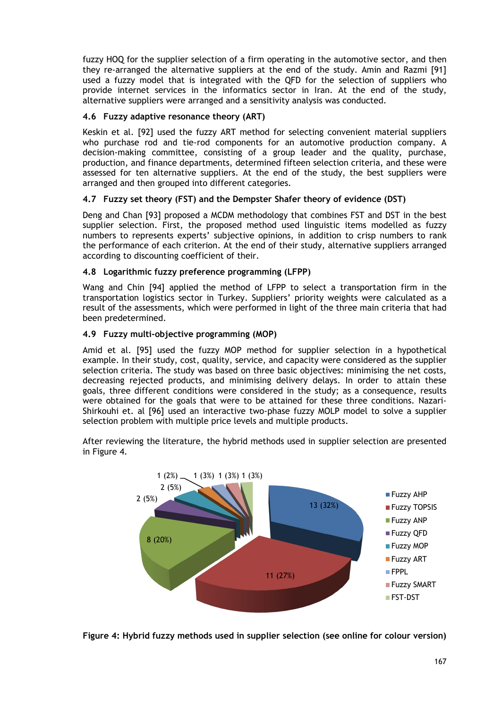fuzzy HOQ for the supplier selection of a firm operating in the automotive sector, and then they re-arranged the alternative suppliers at the end of the study. Amin and Razmi [91] used a fuzzy model that is integrated with the QFD for the selection of suppliers who provide internet services in the informatics sector in Iran. At the end of the study, alternative suppliers were arranged and a sensitivity analysis was conducted.

### **4.6 Fuzzy adaptive resonance theory (ART)**

Keskin et al. [92] used the fuzzy ART method for selecting convenient material suppliers who purchase rod and tie-rod components for an automotive production company. A decision-making committee, consisting of a group leader and the quality, purchase, production, and finance departments, determined fifteen selection criteria, and these were assessed for ten alternative suppliers. At the end of the study, the best suppliers were arranged and then grouped into different categories.

### **4.7 Fuzzy set theory (FST) and the Dempster Shafer theory of evidence (DST)**

Deng and Chan [93] proposed a MCDM methodology that combines FST and DST in the best supplier selection. First, the proposed method used linguistic items modelled as fuzzy numbers to represents experts' subjective opinions, in addition to crisp numbers to rank the performance of each criterion. At the end of their study, alternative suppliers arranged according to discounting coefficient of their.

### **4.8 Logarithmic fuzzy preference programming (LFPP)**

Wang and Chin [94] applied the method of LFPP to select a transportation firm in the transportation logistics sector in Turkey. Suppliers' priority weights were calculated as a result of the assessments, which were performed in light of the three main criteria that had been predetermined.

### **4.9 Fuzzy multi-objective programming (MOP)**

Amid et al. [95] used the fuzzy MOP method for supplier selection in a hypothetical example. In their study, cost, quality, service, and capacity were considered as the supplier selection criteria. The study was based on three basic objectives: minimising the net costs, decreasing rejected products, and minimising delivery delays. In order to attain these goals, three different conditions were considered in the study; as a consequence, results were obtained for the goals that were to be attained for these three conditions. Nazari-Shirkouhi et. al [96] used an interactive two-phase fuzzy MOLP model to solve a supplier selection problem with multiple price levels and multiple products.

After reviewing the literature, the hybrid methods used in supplier selection are presented in Figure 4.



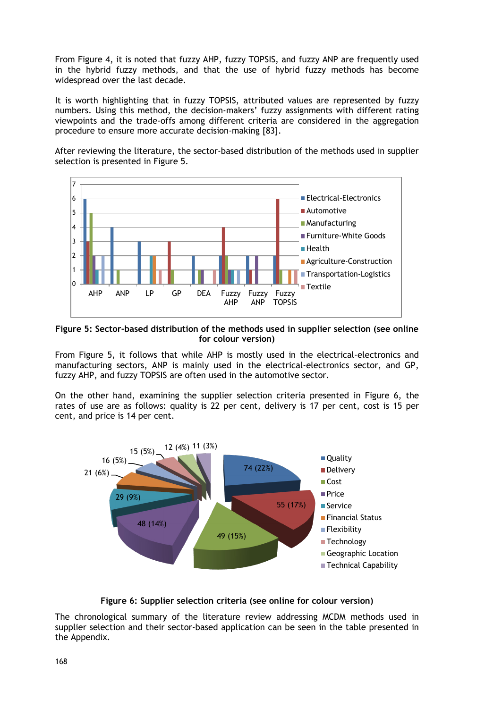From Figure 4, it is noted that fuzzy AHP, fuzzy TOPSIS, and fuzzy ANP are frequently used in the hybrid fuzzy methods, and that the use of hybrid fuzzy methods has become widespread over the last decade.

It is worth highlighting that in fuzzy TOPSIS, attributed values are represented by fuzzy numbers. Using this method, the decision-makers' fuzzy assignments with different rating viewpoints and the trade-offs among different criteria are considered in the aggregation procedure to ensure more accurate decision-making [83].

After reviewing the literature, the sector-based distribution of the methods used in supplier selection is presented in Figure 5.



**Figure 5: Sector-based distribution of the methods used in supplier selection (see online for colour version)**

From Figure 5, it follows that while AHP is mostly used in the electrical-electronics and manufacturing sectors, ANP is mainly used in the electrical-electronics sector, and GP, fuzzy AHP, and fuzzy TOPSIS are often used in the automotive sector.

On the other hand, examining the supplier selection criteria presented in Figure 6, the rates of use are as follows: quality is 22 per cent, delivery is 17 per cent, cost is 15 per cent, and price is 14 per cent.



**Figure 6: Supplier selection criteria (see online for colour version)**

The chronological summary of the literature review addressing MCDM methods used in supplier selection and their sector-based application can be seen in the table presented in the Appendix.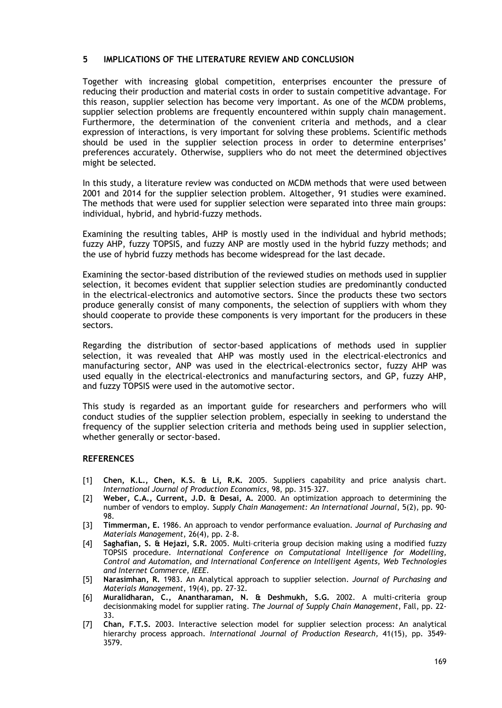#### **5 IMPLICATIONS OF THE LITERATURE REVIEW AND CONCLUSION**

Together with increasing global competition, enterprises encounter the pressure of reducing their production and material costs in order to sustain competitive advantage. For this reason, supplier selection has become very important. As one of the MCDM problems, supplier selection problems are frequently encountered within supply chain management. Furthermore, the determination of the convenient criteria and methods, and a clear expression of interactions, is very important for solving these problems. Scientific methods should be used in the supplier selection process in order to determine enterprises' preferences accurately. Otherwise, suppliers who do not meet the determined objectives might be selected.

In this study, a literature review was conducted on MCDM methods that were used between 2001 and 2014 for the supplier selection problem. Altogether, 91 studies were examined. The methods that were used for supplier selection were separated into three main groups: individual, hybrid, and hybrid-fuzzy methods.

Examining the resulting tables, AHP is mostly used in the individual and hybrid methods; fuzzy AHP, fuzzy TOPSIS, and fuzzy ANP are mostly used in the hybrid fuzzy methods; and the use of hybrid fuzzy methods has become widespread for the last decade.

Examining the sector-based distribution of the reviewed studies on methods used in supplier selection, it becomes evident that supplier selection studies are predominantly conducted in the electrical-electronics and automotive sectors. Since the products these two sectors produce generally consist of many components, the selection of suppliers with whom they should cooperate to provide these components is very important for the producers in these sectors.

Regarding the distribution of sector-based applications of methods used in supplier selection, it was revealed that AHP was mostly used in the electrical-electronics and manufacturing sector, ANP was used in the electrical-electronics sector, fuzzy AHP was used equally in the electrical-electronics and manufacturing sectors, and GP, fuzzy AHP, and fuzzy TOPSIS were used in the automotive sector.

This study is regarded as an important guide for researchers and performers who will conduct studies of the supplier selection problem, especially in seeking to understand the frequency of the supplier selection criteria and methods being used in supplier selection, whether generally or sector-based.

#### **REFERENCES**

- [1] **Chen, K.L., Chen, K.S. & Li, R.K.** 2005. Suppliers capability and price analysis chart. *International Journal of Production Economics*, 98, pp. 315–327.
- [2] **Weber, C.A., Current, J.D. & Desai, A.** 2000. An optimization approach to determining the number of vendors to employ*. Supply Chain Management: An International Journal*, 5(2), pp. 90- 98.
- [3] **Timmerman, E.** 1986. An approach to vendor performance evaluation. *Journal of Purchasing and Materials Management*, 26(4), pp. 2–8.
- [4] **Saghafian, S. & Hejazi, S.R.** 2005. Multi–criteria group decision making using a modified fuzzy TOPSIS procedure. *International Conference on Computational Intelligence for Modelling, Control and Automation, and International Conference on Intelligent Agents, Web Technologies and Internet Commerce, IEEE.*
- [5] **Narasimhan, R.** 1983. An Analytical approach to supplier selection. *Journal of Purchasing and Materials Management*, 19(4), pp. 27-32.
- [6] **Muralidharan, C., Anantharaman, N. & Deshmukh, S.G.** 2002. A multi-criteria group decisionmaking model for supplier rating. *The Journal of Supply Chain Management*, Fall, pp. 22- 33.
- [7] **Chan, F.T.S.** 2003. Interactive selection model for supplier selection process: An analytical hierarchy process approach. *International Journal of Production Research,* 41(15), pp. 3549- 3579.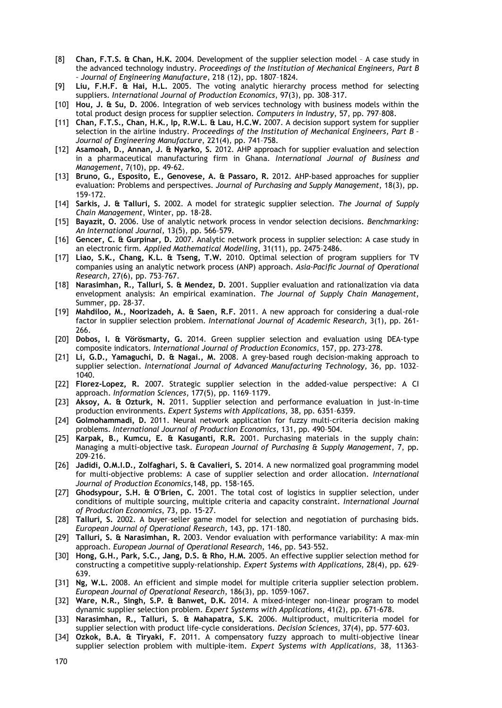- [8] **Chan, F.T.S. & Chan, H.K.** 2004. Development of the supplier selection model A case study in the advanced technology industry. *Proceedings of the Institution of Mechanical Engineers, Part B – Journal of Engineering Manufacture,* 218 (12), pp. 1807–1824.
- [9] **Liu, F.H.F. & Hai, H.L.** 2005. The voting analytic hierarchy process method for selecting suppliers. *International Journal of Production Economics*, 97(3), pp. 308–317.
- [10] **Hou, J. & Su, D.** 2006. Integration of web services technology with business models within the total product design process for supplier selection. *Computers in Industry*, 57, pp. 797–808.
- [11] **Chan, F.T.S., Chan, H.K., Ip, R.W.L. & Lau, H.C.W.** 2007. A decision support system for supplier selection in the airline industry. *Proceedings of the Institution of Mechanical Engineers, Part B – Journal of Engineering Manufacture*, 221(4), pp. 741–758.
- [12] **Asamoah, D., Annan, J. & Nyarko, S.** 2012. AHP approach for supplier evaluation and selection in a pharmaceutical manufacturing firm in Ghana. *International Journal of Business and Management*, 7(10), pp. 49-62.
- [13] **Bruno, G., Esposito, E., Genovese, A. & Passaro, R.** 2012. AHP-based approaches for supplier evaluation: Problems and perspectives. *Journal of Purchasing and Supply Management*, 18(3), pp. 159-172.
- [14] **Sarkis, J. & Talluri, S.** 2002. A model for strategic supplier selection. *The Journal of Supply Chain Management*, Winter, pp. 18-28.
- [15] **Bayazit, O.** 2006. Use of analytic network process in vendor selection decisions. *Benchmarking: An International Journal,* 13(5), pp. 566–579.
- [16] **Gencer, C. & Gurpinar, D.** 2007. Analytic network process in supplier selection: A case study in an electronic firm. *Applied Mathematical Modelling*, 31(11), pp. 2475–2486.
- [17] **Liao, S.K., Chang, K.L. & Tseng, T.W.** 2010. Optimal selection of program suppliers for TV companies using an analytic network process (ANP) approach. *Asia-Pacific Journal of Operational Research,* 27(6), pp. 753–767.
- [18] **Narasimhan, R., Talluri, S. & Mendez, D.** 2001. Supplier evaluation and rationalization via data envelopment analysis: An empirical examination. *The Journal of Supply Chain Management*, Summer, pp. 28-37.
- [19] **Mahdiloo, M., Noorizadeh, A. & Saen, R.F.** 2011. A new approach for considering a dual-role factor in supplier selection problem. *International Journal of Academic Research,* 3(1), pp. 261- 266.
- [20] **Dobos, I. & Vörösmarty, G.** 2014. Green supplier selection and evaluation using DEA-type composite indicators. *International Journal of Production Economics*, 157, pp. 273-278.
- [21] **Li, G.D., Yamaguchi, D. & Nagai., M.** 2008. A grey-based rough decision-making approach to supplier selection. *International Journal of Advanced Manufacturing Technology*, 36, pp. 1032– 1040.
- [22] **Florez-Lopez, R.** 2007. Strategic supplier selection in the added-value perspective: A CI approach. *Information Sciences*, 177(5), pp. 1169–1179.
- [23] **Aksoy, A. & Ozturk, N.** 2011. Supplier selection and performance evaluation in just-in-time production environments. *Expert Systems with Applications*, 38, pp. 6351–6359.
- [24] **Golmohammadi, D.** 2011. Neural network application for fuzzy multi-criteria decision making problems. *International Journal of Production Economics*, 131, pp. 490–504.
- [25] **Karpak, B., Kumcu, E. & Kasuganti, R.R.** 2001. Purchasing materials in the supply chain: Managing a multi-objective task. *European Journal of Purchasing & Supply Management*, 7, pp. 209–216.
- [26] **Jadidi, O.M.I.D., Zolfaghari, S. & Cavalieri, S.** 2014. A new normalized goal programming model for multi-objective problems: A case of supplier selection and order allocation. *International Journal of Production Economics*,148, pp. 158-165.
- [27] **Ghodsypour, S.H. & O'Brien, C.** 2001. The total cost of logistics in supplier selection, under conditions of multiple sourcing, multiple criteria and capacity constraint. *International Journal of Production Economics*, 73, pp. 15-27.
- [28] **Talluri, S.** 2002. A buyer–seller game model for selection and negotiation of purchasing bids. *European Journal of Operational Research*, 143, pp. 171–180.
- [29] **Talluri, S. & Narasimhan, R.** 2003. Vendor evaluation with performance variability: A max–min approach. *European Journal of Operational Research*, 146, pp. 543–552.
- [30] **Hong, G.H., Park, S.C., Jang, D.S. & Rho, H.M.** 2005. An effective supplier selection method for constructing a competitive supply-relationship. *Expert Systems with Applications*, 28(4), pp. 629– 639.
- [31] **Ng, W.L.** 2008. An efficient and simple model for multiple criteria supplier selection problem. *European Journal of Operational Research*, 186(3), pp. 1059–1067.
- [32] **Ware, N.R., Singh, S.P. & Banwet, D.K.** 2014. A mixed-integer non-linear program to model dynamic supplier selection problem. *Expert Systems with Applications*, 41(2), pp. 671-678.
- [33] **Narasimhan, R., Talluri, S. & Mahapatra, S.K.** 2006. Multiproduct, multicriteria model for supplier selection with product life-cycle considerations. *Decision Sciences*, 37(4), pp. 577–603.
- [34] **Ozkok, B.A. & Tiryaki, F.** 2011. A compensatory fuzzy approach to multi-objective linear supplier selection problem with multiple-item. *Expert Systems with Applications*, 38, 11363–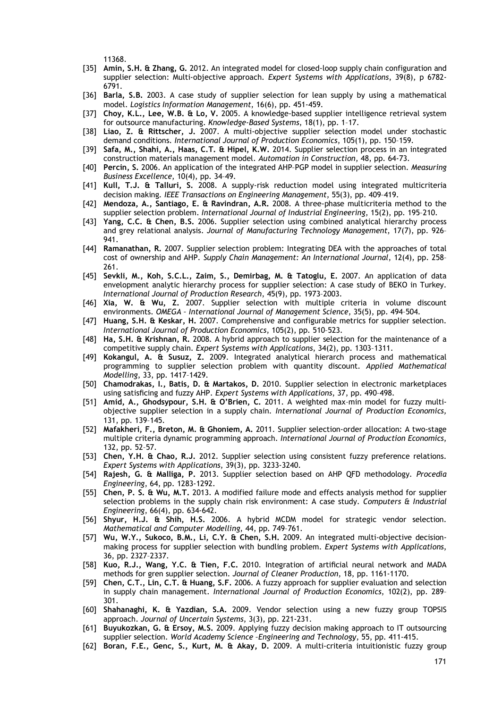11368.

- [35] **Amin, S.H. & Zhang, G.** 2012. An integrated model for closed-loop supply chain configuration and supplier selection: Multi-objective approach. *Expert Systems with Applications*, 39(8), p 6782- 6791.
- [36] **Barla, S.B.** 2003. A case study of supplier selection for lean supply by using a mathematical model. *Logistics Information Management*, 16(6), pp. 451-459.
- [37] **Choy, K.L., Lee, W.B. & Lo, V.** 2005. A knowledge-based supplier intelligence retrieval system for outsource manufacturing. *Knowledge-Based Systems*, 18(1), pp. 1–17.
- [38] **Liao, Z. & Rittscher, J.** 2007. A multi-objective supplier selection model under stochastic demand conditions. *International Journal of Production Economics*, 105(1), pp. 150–159.
- [39] **Safa, M., Shahi, A., Haas, C.T. & Hipel, K.W.** 2014. Supplier selection process in an integrated construction materials management model. *Automation in Construction*, 48, pp. 64-73.
- [40] **Percin, S.** 2006. An application of the integrated AHP–PGP model in supplier selection. *Measuring Business Excellence*, 10(4), pp. 34–49.
- [41] **Kull, T.J. & Talluri, S.** 2008. A supply-risk reduction model using integrated multicriteria decision making*. IEEE Transactions on Engineering Management*, 55(3), pp. 409–419.
- [42] **Mendoza, A., Santiago, E. & Ravindran, A.R.** 2008. A three-phase multicriteria method to the supplier selection problem. *International Journal of Industrial Engineering*, 15(2), pp. 195–210.
- [43] **Yang, C.C. & Chen, B.S.** 2006. Supplier selection using combined analytical hierarchy process and grey relational analysis. *Journal of Manufacturing Technology Management*, 17(7), pp. 926– 941.
- [44] **Ramanathan, R.** 2007. Supplier selection problem: Integrating DEA with the approaches of total cost of ownership and AHP. *Supply Chain Management: An International Journal*, 12(4), pp. 258– 261.
- [45] **Sevkli, M., Koh, S.C.L., Zaim, S., Demirbag, M. & Tatoglu, E.** 2007. An application of data envelopment analytic hierarchy process for supplier selection: A case study of BEKO in Turkey. *International Journal of Production Research*, 45(9), pp. 1973–2003.
- [46] **Xia, W. & Wu, Z.** 2007. Supplier selection with multiple criteria in volume discount environments. *OMEGA – International Journal of Management Science*, 35(5), pp. 494–504.
- [47] **Huang, S.H. & Keskar, H.** 2007. Comprehensive and configurable metrics for supplier selection. *International Journal of Production Economics*, 105(2), pp. 510–523.
- [48] **Ha, S.H. & Krishnan, R.** 2008. A hybrid approach to supplier selection for the maintenance of a competitive supply chain. *Expert Systems with Applications*, 34(2), pp. 1303–1311.
- [49] **Kokangul, A. & Susuz, Z.** 2009. Integrated analytical hierarch process and mathematical programming to supplier selection problem with quantity discount. *Applied Mathematical Modelling*, 33, pp. 1417–1429.
- [50] **Chamodrakas, I., Batis, D. & Martakos, D.** 2010. Supplier selection in electronic marketplaces using satisficing and fuzzy AHP. *Expert Systems with Applications*, 37, pp. 490–498.
- [51] **Amid, A., Ghodsypour, S.H. & O'Brien, C.** 2011. A weighted max–min model for fuzzy multiobjective supplier selection in a supply chain. *International Journal of Production Economics,* 131, pp. 139–145.
- [52] **Mafakheri, F., Breton, M. & Ghoniem, A.** 2011. Supplier selection-order allocation: A two-stage multiple criteria dynamic programming approach. *International Journal of Production Economics*, 132, pp. 52–57.
- [53] **Chen, Y.H. & Chao, R.J.** 2012. Supplier selection using consistent fuzzy preference relations. *Expert Systems with Applications*, 39(3), pp. 3233-3240.
- [54] **Rajesh, G. & Malliga, P.** 2013. Supplier selection based on AHP QFD methodology. *Procedia Engineering*, 64, pp. 1283-1292.
- [55] **Chen, P. S. & Wu, M.T.** 2013. A modified failure mode and effects analysis method for supplier selection problems in the supply chain risk environment: A case study. *Computers & Industrial Engineering*, 66(4), pp. 634-642.
- [56] **Shyur, H.J. & Shih, H.S.** 2006. A hybrid MCDM model for strategic vendor selection. *Mathematical and Computer Modelling*, 44, pp. 749–761.
- [57] **Wu, W.Y., Sukoco, B.M., Li, C.Y. & Chen, S.H.** 2009. An integrated multi-objective decisionmaking process for supplier selection with bundling problem. *Expert Systems with Applications*, 36, pp. 2327–2337.
- [58] **Kuo, R.J., Wang, Y.C. & Tien, F.C.** 2010. Integration of artificial neural network and MADA methods for gren supplier selection. *Journal of Cleaner Production*, 18, pp. 1161-1170.
- [59] **Chen, C.T., Lin, C.T. & Huang, S.F.** 2006. A fuzzy approach for supplier evaluation and selection in supply chain management. *International Journal of Production Economics*, 102(2), pp. 289– 301.
- [60] **Shahanaghi, K. & Yazdian, S.A.** 2009. Vendor selection using a new fuzzy group TOPSIS approach. *Journal of Uncertain Systems*, 3(3), pp. 221-231.
- [61] **Buyukozkan, G. & Ersoy, M.S.** 2009. Applying fuzzy decision making approach to IT outsourcing supplier selection. *World Academy Science –Engineering and Technology*, 55, pp. 411-415.
- [62] **Boran, F.E., Genc, S., Kurt, M. & Akay, D.** 2009. A multi-criteria intuitionistic fuzzy group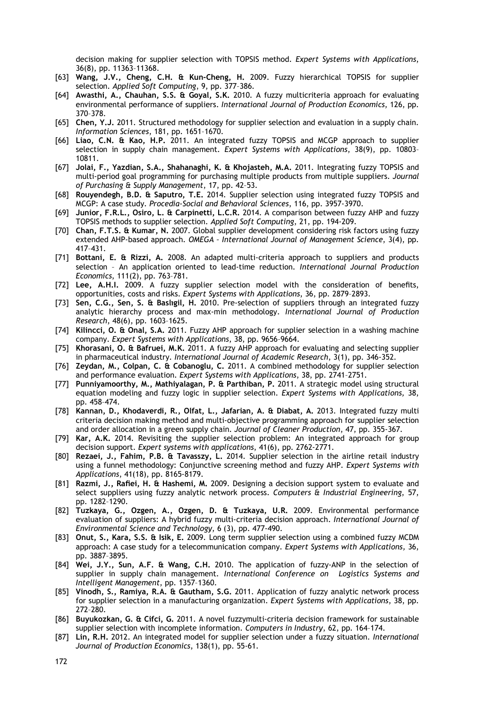decision making for supplier selection with TOPSIS method. *Expert Systems with Applications*, 36(8), pp. 11363–11368.

- [63] **Wang, J.V., Cheng, C.H. & Kun-Cheng, H.** 2009. Fuzzy hierarchical TOPSIS for supplier selection*. Applied Soft Computing*, 9, pp. 377–386.
- [64] **Awasthi, A., Chauhan, S.S. & Goyal, S.K.** 2010. A fuzzy multicriteria approach for evaluating environmental performance of suppliers. *International Journal of Production Economics*, 126, pp. 370–378.
- [65] **Chen, Y.J.** 2011. Structured methodology for supplier selection and evaluation in a supply chain. *Information Sciences*, 181, pp. 1651–1670.
- [66] **Liao, C.N. & Kao, H.P.** 2011. An integrated fuzzy TOPSIS and MCGP approach to supplier selection in supply chain management. *Expert Systems with Applications*, 38(9), pp. 10803– 10811.
- [67] **Jolai, F., Yazdian, S.A., Shahanaghi, K. & Khojasteh, M.A.** 2011. Integrating fuzzy TOPSIS and multi-period goal programming for purchasing multiple products from multiple suppliers. *Journal of Purchasing & Supply Management*, 17, pp. 42–53.
- [68] **Rouyendegh, B.D. & Saputro, T.E.** 2014. Supplier selection using integrated fuzzy TOPSIS and MCGP: A case study. *Procedia-Social and Behavioral Sciences*, 116, pp. 3957-3970.
- [69] **Junior, F.R.L., Osiro, L. & Carpinetti, L.C.R.** 2014. A comparison between fuzzy AHP and fuzzy TOPSIS methods to supplier selection. *Applied Soft Computing*, 21, pp. 194-209.
- [70] **Chan, F.T.S. & Kumar, N.** 2007. Global supplier development considering risk factors using fuzzy extended AHP-based approach. *OMEGA – International Journal of Management Science*, 3(4), pp. 417–431.
- [71] **Bottani, E. & Rizzi, A.** 2008. An adapted multi-criteria approach to suppliers and products selection – An application oriented to lead-time reduction. *International Journal Production Economics*, 111(2), pp. 763–781.
- [72] **Lee, A.H.I.** 2009. A fuzzy supplier selection model with the consideration of benefits, opportunities, costs and risks. *Expert Systems with Applications*, 36, pp. 2879–2893.
- [73] **Sen, C.G., Sen, S. & Baslıgil, H.** 2010. Pre-selection of suppliers through an integrated fuzzy analytic hierarchy process and max-min methodology. *International Journal of Production Research*, 48(6), pp. 1603–1625.
- [74] **Kilincci, O. & Onal, S.A.** 2011. Fuzzy AHP approach for supplier selection in a washing machine company. *Expert Systems with Applications*, 38, pp. 9656–9664.
- [75] **Khorasani, O. & Bafruei, M.K.** 2011. A fuzzy AHP approach for evaluating and selecting supplier in pharmaceutical industry*. International Journal of Academic Research*, 3(1), pp. 346-352.
- [76] **Zeydan, M., Colpan, C. & Cobanoglu, C.** 2011. A combined methodology for supplier selection and performance evaluation. *Expert Systems with Applications*, 38, pp. 2741–2751.
- [77] **Punniyamoorthy, M., Mathiyalagan, P. & Parthiban, P.** 2011. A strategic model using structural equation modeling and fuzzy logic in supplier selection. *Expert Systems with Applications,* 38, pp. 458–474.
- [78] **Kannan, D., Khodaverdi, R., Olfat, L., Jafarian, A. & Diabat, A.** 2013. Integrated fuzzy multi criteria decision making method and multi-objective programming approach for supplier selection and order allocation in a green supply chain. *Journal of Cleaner Production*, 47, pp. 355-367.
- [79] **Kar, A.K.** 2014. Revisiting the supplier selection problem: An integrated approach for group decision support. *Expert systems with applications*, 41(6), pp. 2762-2771.
- [80] **Rezaei, J., Fahim, P.B. & Tavasszy, L.** 2014. Supplier selection in the airline retail industry using a funnel methodology: Conjunctive screening method and fuzzy AHP. *Expert Systems with Applications*, 41(18), pp. 8165-8179.
- [81] **Razmi, J., Rafiei, H. & Hashemi, M.** 2009. Designing a decision support system to evaluate and select suppliers using fuzzy analytic network process. *Computers & Industrial Engineering*, 57, pp. 1282–1290.
- [82] **Tuzkaya, G., Ozgen, A., Ozgen, D. & Tuzkaya, U.R.** 2009. Environmental performance evaluation of suppliers: A hybrid fuzzy multi-criteria decision approach. *International Journal of Environmental Science and Technology*, 6 (3), pp. 477-490.
- [83] **Onut, S., Kara, S.S. & Isik, E.** 2009. Long term supplier selection using a combined fuzzy MCDM approach: A case study for a telecommunication company. *Expert Systems with Applications,* 36, pp. 3887–3895.
- [84] **Wei, J.Y., Sun, A.F. & Wang, C.H.** 2010. The application of fuzzy-ANP in the selection of supplier in supply chain management. *International Conference on Logistics Systems and Intelligent Management*, pp. 1357–1360.
- [85] **Vinodh, S., Ramiya, R.A. & Gautham, S.G.** 2011. Application of fuzzy analytic network process for supplier selection in a manufacturing organization. *Expert Systems with Applications*, 38, pp. 272–280.
- [86] **Buyukozkan, G. & Cifci, G.** 2011. A novel fuzzymulti-criteria decision framework for sustainable supplier selection with incomplete information. *Computers in Industry*, 62, pp. 164–174.
- [87] **Lin, R.H.** 2012. An integrated model for supplier selection under a fuzzy situation. *International Journal of Production Economics*, 138(1), pp. 55-61.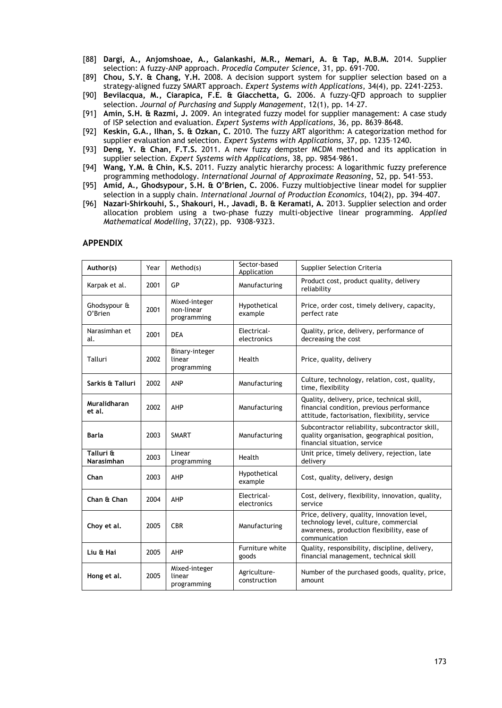- [88] **Dargi, A., Anjomshoae, A., Galankashi, M.R., Memari, A. & Tap, M.B.M.** 2014. Supplier selection: A fuzzy-ANP approach. *Procedia Computer Science*, 31, pp. 691-700.
- [89] **Chou, S.Y. & Chang, Y.H.** 2008. A decision support system for supplier selection based on a strategy-aligned fuzzy SMART approach. *Expert Systems with Applications*, 34(4), pp. 2241-2253.
- [90] **Bevilacqua, M., Ciarapica, F.E. & Giacchetta, G.** 2006. A fuzzy-QFD approach to supplier selection. *Journal of Purchasing and Supply Management*, 12(1), pp. 14–27.
- [91] **Amin, S.H. & Razmi, J.** 2009. An integrated fuzzy model for supplier management: A case study of ISP selection and evaluation. *Expert Systems with Applications*, 36, pp. 8639–8648.
- [92] **Keskin, G.A., Ilhan, S. & Ozkan, C.** 2010. The fuzzy ART algorithm: A categorization method for supplier evaluation and selection. *Expert Systems with Applications*, 37, pp. 1235–1240.
- [93] **Deng, Y. & Chan, F.T.S.** 2011. A new fuzzy dempster MCDM method and its application in supplier selection*. Expert Systems with Applications*, 38, pp. 9854–9861.
- [94] **Wang, Y.M. & Chin, K.S.** 2011. Fuzzy analytic hierarchy process: A logarithmic fuzzy preference programming methodology. *International Journal of Approximate Reasoning*, 52, pp. 541–553.
- [95] **Amid, A., Ghodsypour, S.H. & O'Brien, C.** 2006. Fuzzy multiobjective linear model for supplier selection in a supply chain. *International Journal of Production Economics*, 104(2), pp. 394–407.
- [96] **Nazari-Shirkouhi, S., Shakouri, H., Javadi, B. & Keramati, A.** 2013. Supplier selection and order allocation problem using a two-phase fuzzy multi-objective linear programming. *Applied Mathematical Modelling*, 37(22), pp. 9308-9323.

#### **APPENDIX**

| Author(s)               | Year | Method(s)                                  | Sector-based<br>Application  | <b>Supplier Selection Criteria</b>                                                                                                                  |
|-------------------------|------|--------------------------------------------|------------------------------|-----------------------------------------------------------------------------------------------------------------------------------------------------|
| Karpak et al.           | 2001 | GP                                         | Manufacturing                | Product cost, product quality, delivery<br>reliability                                                                                              |
| Ghodsypour &<br>O'Brien | 2001 | Mixed-integer<br>non-linear<br>programming | Hypothetical<br>example      | Price, order cost, timely delivery, capacity,<br>perfect rate                                                                                       |
| Narasimhan et<br>al.    | 2001 | <b>DEA</b>                                 | Electrical-<br>electronics   | Quality, price, delivery, performance of<br>decreasing the cost                                                                                     |
| Talluri                 | 2002 | Binary-integer<br>linear<br>programming    | Health                       | Price, quality, delivery                                                                                                                            |
| Sarkis & Talluri        | 2002 | ANP                                        | Manufacturing                | Culture, technology, relation, cost, quality,<br>time, flexibility                                                                                  |
| Muralidharan<br>et al.  | 2002 | AHP                                        | Manufacturing                | Quality, delivery, price, technical skill,<br>financial condition, previous performance<br>attitude, factorisation, flexibility, service            |
| Barla                   | 2003 | <b>SMART</b>                               | Manufacturing                | Subcontractor reliability, subcontractor skill,<br>quality organisation, geographical position,<br>financial situation, service                     |
| Talluri &<br>Narasimhan | 2003 | Linear<br>programming                      | Health                       | Unit price, timely delivery, rejection, late<br>delivery                                                                                            |
| Chan                    | 2003 | AHP                                        | Hypothetical<br>example      | Cost, quality, delivery, design                                                                                                                     |
| Chan & Chan             | 2004 | AHP                                        | Electrical-<br>electronics   | Cost, delivery, flexibility, innovation, quality,<br>service                                                                                        |
| Choy et al.             | 2005 | <b>CBR</b>                                 | Manufacturing                | Price, delivery, quality, innovation level,<br>technology level, culture, commercial<br>awareness, production flexibility, ease of<br>communication |
| Liu & Hai               | 2005 | AHP                                        | Furniture white<br>goods     | Quality, responsibility, discipline, delivery,<br>financial management, technical skill                                                             |
| Hong et al.             | 2005 | Mixed-integer<br>linear<br>programming     | Agriculture-<br>construction | Number of the purchased goods, quality, price,<br>amount                                                                                            |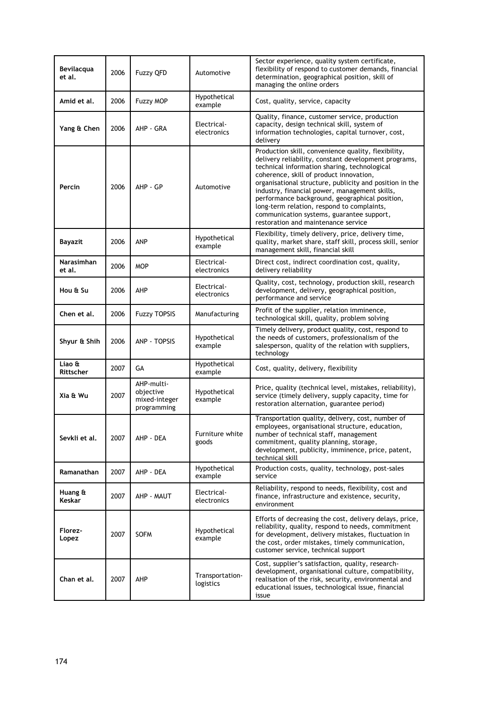| <b>Bevilacqua</b><br>et al. | 2006 | Fuzzy QFD                                               | Automotive                   | Sector experience, quality system certificate,<br>flexibility of respond to customer demands, financial<br>determination, geographical position, skill of<br>managing the online orders                                                                                                                                                                                                                                                                                                                |
|-----------------------------|------|---------------------------------------------------------|------------------------------|--------------------------------------------------------------------------------------------------------------------------------------------------------------------------------------------------------------------------------------------------------------------------------------------------------------------------------------------------------------------------------------------------------------------------------------------------------------------------------------------------------|
| Amid et al.                 | 2006 | Fuzzy MOP                                               | Hypothetical<br>example      | Cost, quality, service, capacity                                                                                                                                                                                                                                                                                                                                                                                                                                                                       |
| Yang & Chen                 | 2006 | AHP - GRA                                               | Electrical-<br>electronics   | Quality, finance, customer service, production<br>capacity, design technical skill, system of<br>information technologies, capital turnover, cost,<br>delivery                                                                                                                                                                                                                                                                                                                                         |
| Percin                      | 2006 | AHP - GP                                                | Automotive                   | Production skill, convenience quality, flexibility,<br>delivery reliability, constant development programs,<br>technical information sharing, technological<br>coherence, skill of product innovation,<br>organisational structure, publicity and position in the<br>industry, financial power, management skills,<br>performance background, geographical position,<br>long-term relation, respond to complaints,<br>communication systems, guarantee support,<br>restoration and maintenance service |
| Bayazit                     | 2006 | ANP                                                     | Hypothetical<br>example      | Flexibility, timely delivery, price, delivery time,<br>quality, market share, staff skill, process skill, senior<br>management skill, financial skill                                                                                                                                                                                                                                                                                                                                                  |
| Narasimhan<br>et al.        | 2006 | <b>MOP</b>                                              | Electrical-<br>electronics   | Direct cost, indirect coordination cost, quality,<br>delivery reliability                                                                                                                                                                                                                                                                                                                                                                                                                              |
| Hou & Su                    | 2006 | AHP                                                     | Electrical-<br>electronics   | Quality, cost, technology, production skill, research<br>development, delivery, geographical position,<br>performance and service                                                                                                                                                                                                                                                                                                                                                                      |
| Chen et al.                 | 2006 | <b>Fuzzy TOPSIS</b>                                     | Manufacturing                | Profit of the supplier, relation imminence,<br>technological skill, quality, problem solving                                                                                                                                                                                                                                                                                                                                                                                                           |
| Shyur & Shih                | 2006 | ANP - TOPSIS                                            | Hypothetical<br>example      | Timely delivery, product quality, cost, respond to<br>the needs of customers, professionalism of the<br>salesperson, quality of the relation with suppliers,<br>technology                                                                                                                                                                                                                                                                                                                             |
| Liao &<br>Rittscher         | 2007 | GА                                                      | Hypothetical<br>example      | Cost, quality, delivery, flexibility                                                                                                                                                                                                                                                                                                                                                                                                                                                                   |
| Xia & Wu                    | 2007 | AHP-multi-<br>objective<br>mixed-integer<br>programming | Hypothetical<br>example      | Price, quality (technical level, mistakes, reliability),<br>service (timely delivery, supply capacity, time for<br>restoration alternation, guarantee period)                                                                                                                                                                                                                                                                                                                                          |
| Sevkli et al.               | 2007 | AHP - DEA                                               | Furniture white<br>goods     | Transportation quality, delivery, cost, number of<br>employees, organisational structure, education,<br>number of technical staff, management<br>commitment, quality planning, storage,<br>development, publicity, imminence, price, patent,<br>technical skill                                                                                                                                                                                                                                        |
| Ramanathan                  | 2007 | AHP - DEA                                               | Hypothetical<br>example      | Production costs, quality, technology, post-sales<br>service                                                                                                                                                                                                                                                                                                                                                                                                                                           |
| Huang &<br>Keskar           | 2007 | AHP - MAUT                                              | Electrical-<br>electronics   | Reliability, respond to needs, flexibility, cost and<br>finance, infrastructure and existence, security,<br>environment                                                                                                                                                                                                                                                                                                                                                                                |
| Florez-<br>Lopez            | 2007 | <b>SOFM</b>                                             | Hypothetical<br>example      | Efforts of decreasing the cost, delivery delays, price,<br>reliability, quality, respond to needs, commitment<br>for development, delivery mistakes, fluctuation in<br>the cost, order mistakes, timely communication,<br>customer service, technical support                                                                                                                                                                                                                                          |
| Chan et al.                 | 2007 | AHP                                                     | Transportation-<br>logistics | Cost, supplier's satisfaction, quality, research-<br>development, organisational culture, compatibility,<br>realisation of the risk, security, environmental and<br>educational issues, technological issue, financial<br>issue                                                                                                                                                                                                                                                                        |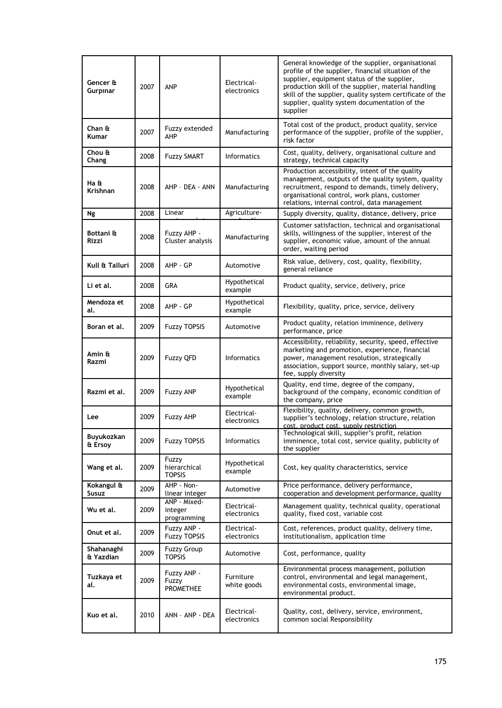| Gencer &<br>Gurpinar    | 2007 | ANP                                    | Electrical-<br>electronics | General knowledge of the supplier, organisational<br>profile of the supplier, financial situation of the<br>supplier, equipment status of the supplier,<br>production skill of the supplier, material handling<br>skill of the supplier, quality system certificate of the<br>supplier, quality system documentation of the<br>supplier |
|-------------------------|------|----------------------------------------|----------------------------|-----------------------------------------------------------------------------------------------------------------------------------------------------------------------------------------------------------------------------------------------------------------------------------------------------------------------------------------|
| Chan &<br><b>Kumar</b>  | 2007 | Fuzzy extended<br>AHP                  | Manufacturing              | Total cost of the product, product quality, service<br>performance of the supplier, profile of the supplier,<br>risk factor                                                                                                                                                                                                             |
| Chou &<br>Chang         | 2008 | <b>Fuzzy SMART</b>                     | <b>Informatics</b>         | Cost, quality, delivery, organisational culture and<br>strategy, technical capacity                                                                                                                                                                                                                                                     |
| Ha &<br><b>Krishnan</b> | 2008 | AHP - DEA - ANN                        | Manufacturing              | Production accessibility, intent of the quality<br>management, outputs of the quality system, quality<br>recruitment, respond to demands, timely delivery,<br>organisational control, work plans, customer<br>relations, internal control, data management                                                                              |
| Ng                      | 2008 | Linear                                 | Agriculture-               | Supply diversity, quality, distance, delivery, price                                                                                                                                                                                                                                                                                    |
| Bottani &<br>Rizzi      | 2008 | Fuzzy AHP -<br>Cluster analysis        | Manufacturing              | Customer satisfaction, technical and organisational<br>skills, willingness of the supplier, interest of the<br>supplier, economic value, amount of the annual<br>order, waiting period                                                                                                                                                  |
| Kull & Talluri          | 2008 | AHP - GP                               | Automotive                 | Risk value, delivery, cost, quality, flexibility,<br>general reliance                                                                                                                                                                                                                                                                   |
| Li et al.               | 2008 | GRA                                    | Hypothetical<br>example    | Product quality, service, delivery, price                                                                                                                                                                                                                                                                                               |
| Mendoza et<br>al.       | 2008 | AHP - GP                               | Hypothetical<br>example    | Flexibility, quality, price, service, delivery                                                                                                                                                                                                                                                                                          |
| Boran et al.            | 2009 | <b>Fuzzy TOPSIS</b>                    | Automotive                 | Product quality, relation imminence, delivery<br>performance, price                                                                                                                                                                                                                                                                     |
| Amin &<br>Razmi         | 2009 | <b>Fuzzy QFD</b>                       | <b>Informatics</b>         | Accessibility, reliability, security, speed, effective<br>marketing and promotion, experience, financial<br>power, management resolution, strategically<br>association, support source, monthly salary, set-up<br>fee, supply diversity                                                                                                 |
| Razmi et al.            | 2009 | <b>Fuzzy ANP</b>                       | Hypothetical<br>example    | Quality, end time, degree of the company,<br>background of the company, economic condition of<br>the company, price                                                                                                                                                                                                                     |
| Lee                     | 2009 | Fuzzy AHP                              | Electrical-<br>electronics | Flexibility, quality, delivery, common growth,<br>supplier's technology, relation structure, relation<br>cost, product cost, supply restriction.                                                                                                                                                                                        |
| Buyukozkan<br>& Ersoy   | 2009 | <b>Fuzzy TOPSIS</b>                    | <b>Informatics</b>         | Technological skill, supplier's profit, relation<br>imminence, total cost, service quality, publicity of<br>the supplier                                                                                                                                                                                                                |
| Wang et al.             | 2009 | Fuzzy<br>hierarchical<br><b>TOPSIS</b> | Hypothetical<br>example    | Cost, key quality characteristics, service                                                                                                                                                                                                                                                                                              |
| Kokangul &<br>Susuz     | 2009 | AHP - Non-<br>linear integer           | Automotive                 | Price performance, delivery performance,<br>cooperation and development performance, quality                                                                                                                                                                                                                                            |
| Wu et al.               | 2009 | ANP - Mixed-<br>integer<br>programming | Electrical-<br>electronics | Management quality, technical quality, operational<br>quality, fixed cost, variable cost                                                                                                                                                                                                                                                |
| Onut et al.             | 2009 | Fuzzy ANP -<br><b>Fuzzy TOPSIS</b>     | Electrical-<br>electronics | Cost, references, product quality, delivery time,<br>institutionalism, application time                                                                                                                                                                                                                                                 |
| Shahanaghi<br>& Yazdian | 2009 | <b>Fuzzy Group</b><br><b>TOPSIS</b>    | Automotive                 | Cost, performance, quality                                                                                                                                                                                                                                                                                                              |
| Tuzkaya et<br>al.       | 2009 | Fuzzy ANP -<br>Fuzzy<br>PROMETHEE      | Furniture<br>white goods   | Environmental process management, pollution<br>control, environmental and legal management,<br>environmental costs, environmental image,<br>environmental product.                                                                                                                                                                      |
| Kuo et al.              | 2010 | ANN - ANP - DEA                        | Electrical-<br>electronics | Quality, cost, delivery, service, environment,<br>common social Responsibility                                                                                                                                                                                                                                                          |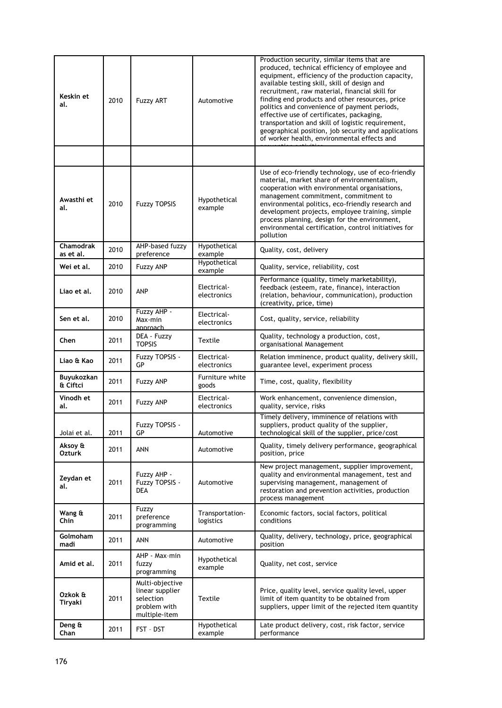| Keskin et<br>al.              | 2010 | <b>Fuzzy ART</b>                                                                 | Automotive                   | Production security, similar items that are<br>produced, technical efficiency of employee and<br>equipment, efficiency of the production capacity,<br>available testing skill, skill of design and<br>recruitment, raw material, financial skill for<br>finding end products and other resources, price<br>politics and convenience of payment periods,<br>effective use of certificates, packaging,<br>transportation and skill of logistic requirement,<br>geographical position, job security and applications<br>of worker health, environmental effects and |
|-------------------------------|------|----------------------------------------------------------------------------------|------------------------------|------------------------------------------------------------------------------------------------------------------------------------------------------------------------------------------------------------------------------------------------------------------------------------------------------------------------------------------------------------------------------------------------------------------------------------------------------------------------------------------------------------------------------------------------------------------|
|                               |      |                                                                                  |                              |                                                                                                                                                                                                                                                                                                                                                                                                                                                                                                                                                                  |
| Awasthi et<br>al.             | 2010 | <b>Fuzzy TOPSIS</b>                                                              | Hypothetical<br>example      | Use of eco-friendly technology, use of eco-friendly<br>material, market share of environmentalism,<br>cooperation with environmental organisations,<br>management commitment, commitment to<br>environmental politics, eco-friendly research and<br>development projects, employee training, simple<br>process planning, design for the environment,<br>environmental certification, control initiatives for<br>pollution                                                                                                                                        |
| <b>Chamodrak</b><br>as et al. | 2010 | AHP-based fuzzy<br>preference                                                    | Hypothetical<br>example      | Quality, cost, delivery                                                                                                                                                                                                                                                                                                                                                                                                                                                                                                                                          |
| Wei et al.                    | 2010 | <b>Fuzzy ANP</b>                                                                 | Hypothetical<br>example      | Quality, service, reliability, cost                                                                                                                                                                                                                                                                                                                                                                                                                                                                                                                              |
| Liao et al.                   | 2010 | ANP                                                                              | Electrical-<br>electronics   | Performance (quality, timely marketability),<br>feedback (esteem, rate, finance), interaction<br>(relation, behaviour, communication), production<br>(creativity, price, time)                                                                                                                                                                                                                                                                                                                                                                                   |
| Sen et al.                    | 2010 | Fuzzy AHP -<br>Max-min<br>approach                                               | Electrical-<br>electronics   | Cost, quality, service, reliability                                                                                                                                                                                                                                                                                                                                                                                                                                                                                                                              |
| Chen                          | 2011 | DEA - Fuzzy<br><b>TOPSIS</b>                                                     | Textile                      | Quality, technology a production, cost,<br>organisational Management                                                                                                                                                                                                                                                                                                                                                                                                                                                                                             |
| Liao & Kao                    | 2011 | Fuzzy TOPSIS -<br>GP                                                             | Electrical-<br>electronics   | Relation imminence, product quality, delivery skill,<br>guarantee level, experiment process                                                                                                                                                                                                                                                                                                                                                                                                                                                                      |
| Buyukozkan<br>& Ciftci        | 2011 | <b>Fuzzy ANP</b>                                                                 | Furniture white<br>goods     | Time, cost, quality, flexibility                                                                                                                                                                                                                                                                                                                                                                                                                                                                                                                                 |
| Vinodh et<br>al.              | 2011 | <b>Fuzzy ANP</b>                                                                 | Electrical-<br>electronics   | Work enhancement, convenience dimension,<br>quality, service, risks                                                                                                                                                                                                                                                                                                                                                                                                                                                                                              |
| Jolai et al.                  | 2011 | Fuzzy TOPSIS -<br>GP                                                             | Automotive                   | Timely delivery, imminence of relations with<br>suppliers, product quality of the supplier,<br>technological skill of the supplier, price/cost                                                                                                                                                                                                                                                                                                                                                                                                                   |
| Aksoy &<br><b>Ozturk</b>      | 2011 | ANN                                                                              | Automotive                   | Quality, timely delivery performance, geographical<br>position, price                                                                                                                                                                                                                                                                                                                                                                                                                                                                                            |
| Zeydan et<br>al.              | 2011 | Fuzzy AHP -<br>Fuzzy TOPSIS -<br>DEA                                             | Automotive                   | New project management, supplier improvement,<br>quality and environmental management, test and<br>supervising management, management of<br>restoration and prevention activities, production<br>process management                                                                                                                                                                                                                                                                                                                                              |
| Wang &<br>Chin                | 2011 | Fuzzy<br>preference<br>programming                                               | Transportation-<br>logistics | Economic factors, social factors, political<br>conditions                                                                                                                                                                                                                                                                                                                                                                                                                                                                                                        |
| Golmoham<br>madi              | 2011 | ANN                                                                              | Automotive                   | Quality, delivery, technology, price, geographical<br>position                                                                                                                                                                                                                                                                                                                                                                                                                                                                                                   |
| Amid et al.                   | 2011 | AHP - Max-min<br>fuzzy<br>programming                                            | Hypothetical<br>example      | Quality, net cost, service                                                                                                                                                                                                                                                                                                                                                                                                                                                                                                                                       |
| Ozkok &<br>Tiryaki            | 2011 | Multi-objective<br>linear supplier<br>selection<br>problem with<br>multiple-item | Textile                      | Price, quality level, service quality level, upper<br>limit of item quantity to be obtained from<br>suppliers, upper limit of the rejected item quantity                                                                                                                                                                                                                                                                                                                                                                                                         |
| Deng &<br>Chan                | 2011 | FST - DST                                                                        | Hypothetical<br>example      | Late product delivery, cost, risk factor, service<br>performance                                                                                                                                                                                                                                                                                                                                                                                                                                                                                                 |